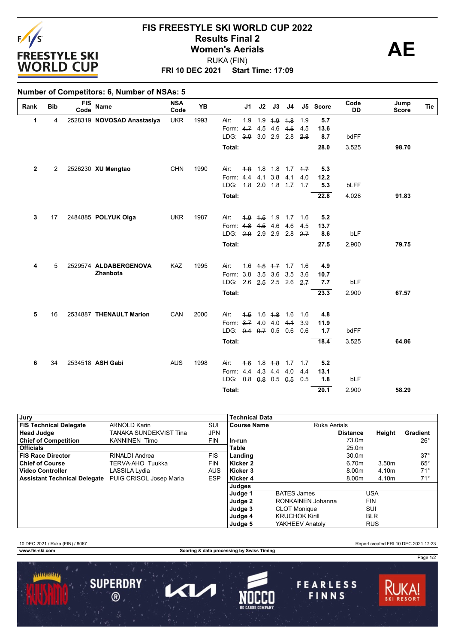

## **FRI 10 DEC 2021 Start Time: 17:09 FIS FREESTYLE SKI WORLD CUP 2022 Results Final 2**<br> **Women's Aerials**<br>
PUKA (FIN) RUKA (FIN)

### **Number of Competitors: 6, Number of NSAs: 5**

| Rank | <b>Bib</b> | <b>FIS</b><br>Code | <b>Name</b>                | <b>NSA</b><br>Code | <b>YB</b> |                         | J <sub>1</sub> | J2              | J3                      | J4                |     | J5 Score    | Code<br><b>DD</b> | Jump<br>Tie<br><b>Score</b> |
|------|------------|--------------------|----------------------------|--------------------|-----------|-------------------------|----------------|-----------------|-------------------------|-------------------|-----|-------------|-------------------|-----------------------------|
| 1    | 4          |                    | 2528319 NOVOSAD Anastasiya | <b>UKR</b>         | 1993      | Air:                    | 1.9            | 1.9             | 4.9                     | 4.8               | 1.9 | 5.7         |                   |                             |
|      |            |                    |                            |                    |           | Form: 4.7 4.5           |                |                 | 4.6                     | 4.5               | 4.5 | 13.6        |                   |                             |
|      |            |                    |                            |                    |           | LDG: 3.0                |                | $3.0$ 2.9       |                         | 2.8               | 2.8 | 8.7         | bdFF              |                             |
|      |            |                    |                            |                    |           | Total:                  |                |                 |                         |                   |     | 28.0        | 3.525             | 98.70                       |
| 2    | 2          |                    | 2526230 XU Mengtao         | <b>CHN</b>         | 1990      | Air:                    | 4.8            |                 |                         | $1.8$ 1.8 1.7 4.7 |     | 5.3         |                   |                             |
|      |            |                    |                            |                    |           | Form: 4.4 4.1           |                |                 | $3.8$ 4.1               |                   | 4.0 | 12.2        |                   |                             |
|      |            |                    |                            |                    |           | LDG: 1.8 2.0 1.8 4.7    |                |                 |                         |                   | 1.7 | 5.3         | <b>bLFF</b>       |                             |
|      |            |                    |                            |                    |           | Total:                  |                |                 |                         |                   |     | 22.8        | 4.028             | 91.83                       |
|      |            |                    |                            |                    |           |                         |                |                 |                         |                   |     |             |                   |                             |
| 3    | 17         |                    | 2484885 POLYUK Olga        | <b>UKR</b>         | 1987      | Air:                    |                | $4.9$ $4.5$ 1.9 |                         | 1.7               | 1.6 | 5.2         |                   |                             |
|      |            |                    |                            |                    |           | Form: 4.8<br>LDG: $2.9$ |                | 4.5             | 4.6                     | 4.6               | 4.5 | 13.7<br>8.6 | bLF               |                             |
|      |            |                    |                            |                    |           |                         |                |                 | 2.9 2.9 2.8             |                   | 2.7 |             |                   |                             |
|      |            |                    |                            |                    |           | Total:                  |                |                 |                         |                   |     | 27.5        | 2.900             | 79.75                       |
|      |            |                    |                            |                    |           |                         |                |                 |                         |                   |     |             |                   |                             |
| 4    | 5          |                    | 2529574 ALDABERGENOVA      | <b>KAZ</b>         | 1995      | Air:                    |                |                 | $1.6$ $4.5$ $4.7$ $1.7$ |                   | 1.6 | 4.9         |                   |                             |
|      |            |                    | Zhanbota                   |                    |           | Form: 3.8 3.5 3.6 3.5   |                |                 |                         |                   | 3.6 | 10.7        |                   |                             |
|      |            |                    |                            |                    |           | LDG: 2.6 2.5 2.5 2.6    |                |                 |                         |                   | 2.7 | 7.7         | bLF               |                             |
|      |            |                    |                            |                    |           | Total:                  |                |                 |                         |                   |     | 23.3        | 2.900             | 67.57                       |
| 5    | 16         |                    | 2534887 THENAULT Marion    | CAN                | 2000      | Air:                    |                |                 | $4.5$ 1.6 $4.8$ 1.6     |                   | 1.6 | 4.8         |                   |                             |
|      |            |                    |                            |                    |           | Form: 3.7 4.0 4.0 4.1   |                |                 |                         |                   | 3.9 | 11.9        |                   |                             |
|      |            |                    |                            |                    |           | LDG: 0.4 0.7 0.5 0.6    |                |                 |                         |                   | 0.6 | 1.7         | bdFF              |                             |
|      |            |                    |                            |                    |           | Total:                  |                |                 |                         |                   |     | 18.4        | 3.525             | 64.86                       |
|      |            |                    |                            |                    |           |                         |                |                 |                         |                   |     |             |                   |                             |
| 6    | 34         |                    | 2534518 ASH Gabi           | <b>AUS</b>         | 1998      | Air:                    | $+6$           |                 |                         | $1.8 + 8$ 1.7 1.7 |     | 5.2         |                   |                             |
|      |            |                    |                            |                    |           | Form: 4.4 4.3 4.4 4.0   |                |                 |                         |                   | 4.4 | 13.1        |                   |                             |
|      |            |                    |                            |                    |           | LDG: 0.8 0.8 0.5 0.5    |                |                 |                         |                   | 0.5 | 1.8         | bLF               |                             |
|      |            |                    |                            |                    |           | Total:                  |                |                 |                         |                   |     | 20.1        | 2.900             | 58.29                       |

| Jury                                |                         |            | <b>Technical Data</b> |                       |                 |            |                 |
|-------------------------------------|-------------------------|------------|-----------------------|-----------------------|-----------------|------------|-----------------|
| <b>FIS Technical Delegate</b>       | <b>ARNOLD Karin</b>     | SUI        | <b>Course Name</b>    | Ruka Aerials          |                 |            |                 |
| <b>Head Judge</b>                   | TANAKA SUNDEKVIST Tina  | <b>JPN</b> |                       |                       | <b>Distance</b> | Height     | <b>Gradient</b> |
| <b>Chief of Competition</b>         | <b>KANNINEN Timo</b>    | <b>FIN</b> | . In-run              |                       | 73.0m           |            | $26^{\circ}$    |
| <b>Officials</b>                    |                         |            | Table                 |                       | 25.0m           |            |                 |
| <b>FIS Race Director</b>            | RINALDI Andrea          | <b>FIS</b> | Landing               |                       | 30.0m           |            | $37^\circ$      |
| <b>Chief of Course</b>              | TERVA-AHO Tuukka        | <b>FIN</b> | Kicker 2              |                       | 6.70m           | 3.50m      | $65^{\circ}$    |
| <b>Video Controller</b>             | LASSILA Lydia           | <b>AUS</b> | Kicker 3              |                       | 8.00m           | 4.10m      | $71^\circ$      |
| <b>Assistant Technical Delegate</b> | PUIG CRISOL Josep Maria | <b>ESP</b> | Kicker 4              |                       | 8.00m           | 4.10m      | $71^\circ$      |
|                                     |                         |            | Judges                |                       |                 |            |                 |
|                                     |                         |            | Judge 1               | <b>BATES James</b>    |                 | <b>USA</b> |                 |
|                                     |                         |            | Judge 2               | RONKAINEN Johanna     |                 | <b>FIN</b> |                 |
|                                     |                         |            | Judge 3               | <b>CLOT Monique</b>   |                 | SUI        |                 |
|                                     |                         |            | Judge 4               | <b>KRUCHOK Kirill</b> |                 | <b>BLR</b> |                 |
|                                     |                         |            | Judge 5               | YAKHEEV Anatolv       |                 | <b>RUS</b> |                 |

10 DEC 2021 / Ruka (FIN) / 8067 Report created FRI 10 DEC 2021 17:23